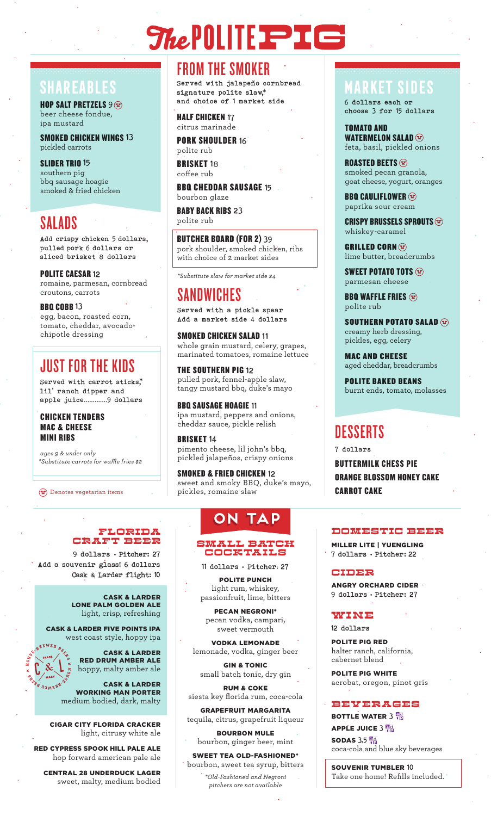# *ShePOLITE*

HOP SALT PRETZELS  $9 \Omega$ beer cheese fondue, ipa mustard

SMOKED CHICKEN WINGS 13 pickled carrots

SLIDER TRIO 15 southern pig bbq sausage hoagie smoked & fried chicken

## SALADS

Add crispy chicken 5 dollars, pulled pork 6 dollars or sliced brisket 8 dollars

POLITE CAESAR 12 romaine, parmesan, cornbread croutons, carrots

BBQ COBB 13 egg, bacon, roasted corn, tomato, cheddar, avocado-

chipotle dressing

### JUST FOR THE KIDS

Served with carrot sticks, $\stackrel{*}{\cdot}$ lil' ranch dipper and apple juice.............9 dollars

CHICKEN TENDERS MAC & CHEESE MINI RIBS

*ages 9 & under only \*Substitute carrots for wae fries \$2*

 $\Omega$  Denotes vegetarian items

### FROM THE SMOKER

SHAREABLES **Served with jalapeño cornbread MARKET SIDES** signature polite slaw,\* and choice of 1 market side

> HALF CHICKEN 17 citrus marinade

**PORK SHOULDER 16** polite rub

**BRISKET 18** coffee rub

BBQ CHEDDAR SAUSAGE 15 bourbon glaze

BABY BACK RIBS 23 polite rub

BUTCHER BOARD (FOR 2) 39 pork shoulder, smoked chicken, ribs with choice of 2 market sides

*\*Substitute slaw for market side \$4*

# SANDWICHES

Served with a pickle spear Add a market side 4 dollars

SMOKED CHICKEN SALAD 11 whole grain mustard, celery, grapes, marinated tomatoes, romaine lettuce

THE SOUTHERN PIG 12 pulled pork, fennel-apple slaw, tangy mustard bbq, duke's mayo

BBQ SAUSAGE HOAGIE 11 ipa mustard, peppers and onions, cheddar sauce, pickle relish

BRISKET 14 pimento cheese, lil john's bbq, pickled jalapeños, crispy onions

SMOKED & FRIED CHICKEN 12 sweet and smoky BBQ, duke's mayo, pickles, romaine slaw

### **on tap**

#### SMALL BATCH COCKTAILS

11 dollars • Pitcher: 27

POLITE PUNCH light rum, whiskey, passionfruit, lime, bitters

PECAN NEGRONI\* pecan vodka, campari, sweet vermouth

VODKA LEMONADE lemonade, vodka, ginger beer

GIN & TONIC small batch tonic, dry gin

RUM & COKE siesta key florida rum, coca-cola

GRAPEFRUIT MARGARITA tequila, citrus, grapefruit liqueur

BOURBON MULE bourbon, ginger beer, mint

SWEET TEA OLD-FASHIONED\* bourbon, sweet tea syrup, bitters

*\*Old-Fashioned and Negroni pitchers are not available*

6 dollars each or choose 3 for 15 dollars

TOMATO AND WATERMELON SALAD $@$ feta, basil, pickled onions

ROASTED BEETS  $\circledcirc$ smoked pecan granola, goat cheese, yogurt, oranges

**BBQ CAULIFLOWER**  $\circledcirc$ paprika sour cream

CRISPY BRUSSELS SPROUTS  $\circledcirc$ whiskey-caramel

GRILLED CORN $\circledcirc$ lime butter, breadcrumbs

SWEET POTATO TOTS  $\Omega$ parmesan cheese

**BBQ WAFFLE FRIES**  $\circledcirc$ polite rub

SOUTHERN POTATO SALAD  $\circledcirc$ creamy herb dressing, pickles, egg, celery

MAC AND CHEESE aged cheddar, breadcrumbs

POLITE BAKED BEANS burnt ends, tomato, molasses

### DESSERTS

7 dollars

BUTTERMILK CHESS PIE ORANGE BLOSSOM HONEY CAKE CARROT CAKE

#### DOMESTIC BEER

MILLER LITE | YUENGLING 7 dollars • Pitcher: 22

CIDER

ANGRY ORCHARD CIDER 9 dollars • Pitcher: 27

#### WINE

12 dollars

POLITE PIG RED halter ranch, california, cabernet blend

POLITE PIG WHITE acrobat, oregon, pinot gris

### BEVERAGES

**BOTTLE WATER 3 PM APPLE JUICE 3 Pd** SODAS  $3.5\frac{84}{10}$ 

coca-cola and blue sky beverages

SOUVENIR TUMBLER 10 Take one home! Refills included.

### FLORIDA CRAFT Beer

9 dollars • Pitcher: 27 Add a souvenir glass! 6 dollars Cask & Larder flight: 10

> CASK & LARDER LONE PALM GOLDEN ALE light, crisp, refreshing

CASK & LARDER FIVE POINTS IPA west coast style, hoppy ipa

**E**<br> **ED D D B**<br> **ED O** 

**B**  $\frac{1}{2}$  **WAP** 

**H**

CASK & LARDER RED DRUM AMBER ALE hoppy, malty amber ale

**E** A<sub>D</sub> CASK & LARDER WORKING MAN PORTER medium bodied, dark, malty

CIGAR CITY FLORIDA CRACKER light, citrusy white ale

RED CYPRESS SPOOK HILL PALE ALE hop forward american pale ale

CENTRAL 28 UNDERDUCK LAGER sweet, malty, medium bodied